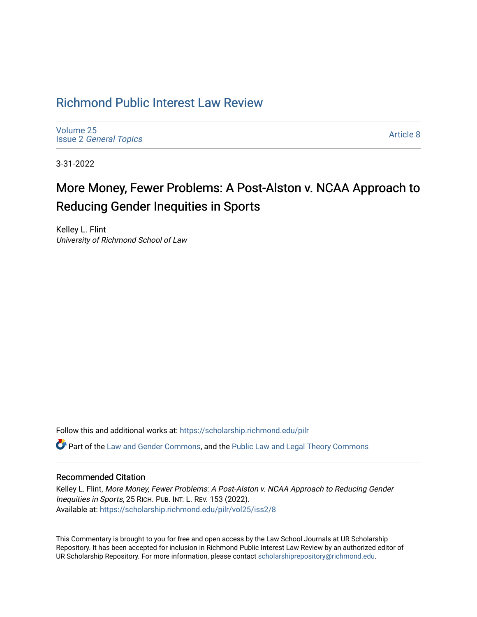# [Richmond Public Interest Law Review](https://scholarship.richmond.edu/pilr)

[Volume 25](https://scholarship.richmond.edu/pilr/vol25) Issue 2 [General Topics](https://scholarship.richmond.edu/pilr/vol25/iss2) 

[Article 8](https://scholarship.richmond.edu/pilr/vol25/iss2/8) 

3-31-2022

# More Money, Fewer Problems: A Post-Alston v. NCAA Approach to Reducing Gender Inequities in Sports

Kelley L. Flint University of Richmond School of Law

Follow this and additional works at: [https://scholarship.richmond.edu/pilr](https://scholarship.richmond.edu/pilr?utm_source=scholarship.richmond.edu%2Fpilr%2Fvol25%2Fiss2%2F8&utm_medium=PDF&utm_campaign=PDFCoverPages) 

Part of the [Law and Gender Commons,](http://network.bepress.com/hgg/discipline/1298?utm_source=scholarship.richmond.edu%2Fpilr%2Fvol25%2Fiss2%2F8&utm_medium=PDF&utm_campaign=PDFCoverPages) and the [Public Law and Legal Theory Commons](http://network.bepress.com/hgg/discipline/871?utm_source=scholarship.richmond.edu%2Fpilr%2Fvol25%2Fiss2%2F8&utm_medium=PDF&utm_campaign=PDFCoverPages) 

# Recommended Citation

Kelley L. Flint, More Money, Fewer Problems: A Post-Alston v. NCAA Approach to Reducing Gender Inequities in Sports, 25 RICH. PUB. INT. L. REV. 153 (2022). Available at: [https://scholarship.richmond.edu/pilr/vol25/iss2/8](https://scholarship.richmond.edu/pilr/vol25/iss2/8?utm_source=scholarship.richmond.edu%2Fpilr%2Fvol25%2Fiss2%2F8&utm_medium=PDF&utm_campaign=PDFCoverPages)

This Commentary is brought to you for free and open access by the Law School Journals at UR Scholarship Repository. It has been accepted for inclusion in Richmond Public Interest Law Review by an authorized editor of UR Scholarship Repository. For more information, please contact [scholarshiprepository@richmond.edu](mailto:scholarshiprepository@richmond.edu).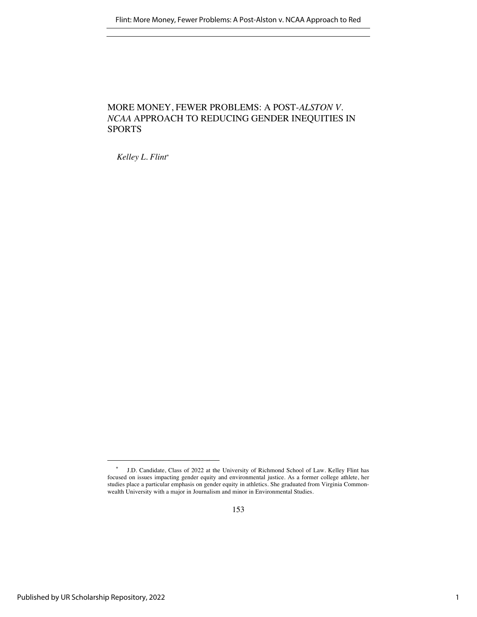# MORE MONEY, FEWER PROBLEMS: A POST-*ALSTON V. NCAA* APPROACH TO REDUCING GENDER INEQUITIES IN SPORTS

*Kelley L. Flint\**

<sup>\*</sup> J.D. Candidate, Class of 2022 at the University of Richmond School of Law. Kelley Flint has focused on issues impacting gender equity and environmental justice. As a former college athlete, her studies place a particular emphasis on gender equity in athletics. She graduated from Virginia Commonwealth University with a major in Journalism and minor in Environmental Studies.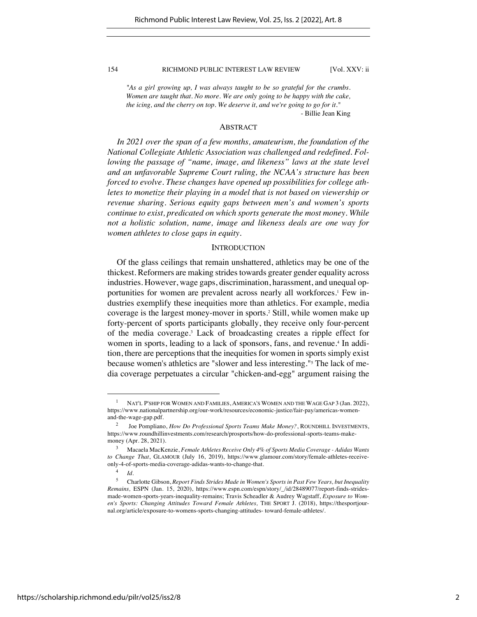*"As a girl growing up, I was always taught to be so grateful for the crumbs. Women are taught that. No more. We are only going to be happy with the cake, the icing, and the cherry on top. We deserve it, and we're going to go for it."*

- Billie Jean King

# ABSTRACT

*In 2021 over the span of a few months, amateurism, the foundation of the National Collegiate Athletic Association was challenged and redefined. Following the passage of "name, image, and likeness" laws at the state level and an unfavorable Supreme Court ruling, the NCAA's structure has been forced to evolve. These changes have opened up possibilities for college athletes to monetize their playing in a model that is not based on viewership or revenue sharing. Serious equity gaps between men's and women's sports continue to exist, predicated on which sports generate the most money. While not a holistic solution, name, image and likeness deals are one way for women athletes to close gaps in equity.* 

# **INTRODUCTION**

Of the glass ceilings that remain unshattered, athletics may be one of the thickest. Reformers are making strides towards greater gender equality across industries. However, wage gaps, discrimination, harassment, and unequal opportunities for women are prevalent across nearly all workforces.<sup>1</sup> Few industries exemplify these inequities more than athletics. For example, media coverage is the largest money-mover in sports. <sup>2</sup> Still, while women make up forty-percent of sports participants globally, they receive only four-percent of the media coverage.3 Lack of broadcasting creates a ripple effect for women in sports, leading to a lack of sponsors, fans, and revenue.<sup>4</sup> In addition, there are perceptions that the inequities for women in sports simply exist because women's athletics are "slower and less interesting."5 The lack of media coverage perpetuates a circular "chicken-and-egg" argument raising the

<sup>1</sup> NAT'L P'SHIP FOR WOMEN AND FAMILIES, AMERICA'S WOMEN AND THE WAGE GAP 3 (Jan. 2022), https://www.nationalpartnership.org/our-work/resources/economic-justice/fair-pay/americas-womenand-the-wage-gap.pdf.

<sup>2</sup> Joe Pompliano, *How Do Professional Sports Teams Make Money?*, ROUNDHILL INVESTMENTS, https://www.roundhillinvestments.com/research/prosports/how-do-professional-sports-teams-makemoney (Apr. 28, 2021).

<sup>3</sup> Macaela MacKenzie, *Female Athletes Receive Only 4% of Sports Media Coverage - Adidas Wants to Change That*, GLAMOUR (July 16, 2019), https://www.glamour.com/story/female-athletes-receiveonly-4-of-sports-media-coverage-adidas-wants-to-change-that.

<sup>4</sup> *Id.*

<sup>5</sup> Charlotte Gibson, *Report Finds Strides Made in Women's Sports in Past Few Years, but Inequality Remains,* ESPN (Jan. 15, 2020), https://www.espn.com/espn/story/\_/id/28489077/report-finds-stridesmade-women-sports-years-inequality-remains; Travis Scheadler & Audrey Wagstaff, *Exposure to Women's Sports: Changing Attitudes Toward Female Athletes,* THE SPORT J. (2018), https://thesportjournal.org/article/exposure-to-womens-sports-changing-attitudes- toward-female-athletes/.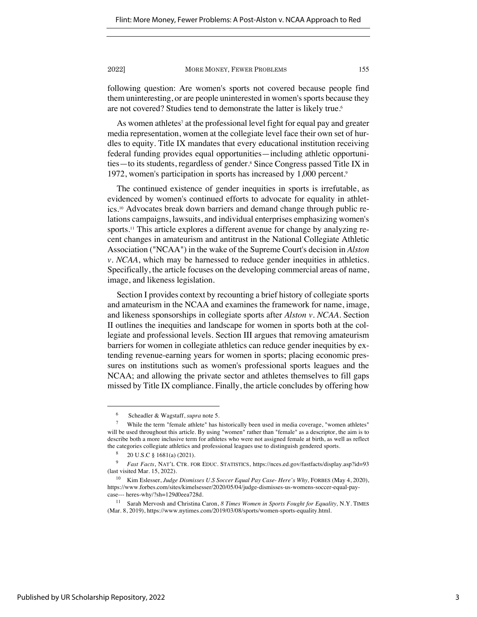following question: Are women's sports not covered because people find them uninteresting, or are people uninterested in women's sports because they are not covered? Studies tend to demonstrate the latter is likely true.<sup>6</sup>

As women athletes<sup>7</sup> at the professional level fight for equal pay and greater media representation, women at the collegiate level face their own set of hurdles to equity. Title IX mandates that every educational institution receiving federal funding provides equal opportunities—including athletic opportunities—to its students, regardless of gender.8 Since Congress passed Title IX in 1972, women's participation in sports has increased by 1,000 percent.<sup>9</sup>

The continued existence of gender inequities in sports is irrefutable, as evidenced by women's continued efforts to advocate for equality in athletics.10 Advocates break down barriers and demand change through public relations campaigns, lawsuits, and individual enterprises emphasizing women's sports.11 This article explores a different avenue for change by analyzing recent changes in amateurism and antitrust in the National Collegiate Athletic Association ("NCAA") in the wake of the Supreme Court's decision in *Alston v. NCAA*, which may be harnessed to reduce gender inequities in athletics. Specifically, the article focuses on the developing commercial areas of name, image, and likeness legislation.

Section I provides context by recounting a brief history of collegiate sports and amateurism in the NCAA and examines the framework for name, image, and likeness sponsorships in collegiate sports after *Alston v. NCAA.* Section II outlines the inequities and landscape for women in sports both at the collegiate and professional levels. Section III argues that removing amateurism barriers for women in collegiate athletics can reduce gender inequities by extending revenue-earning years for women in sports; placing economic pressures on institutions such as women's professional sports leagues and the NCAA; and allowing the private sector and athletes themselves to fill gaps missed by Title IX compliance. Finally, the article concludes by offering how

<sup>6</sup> Scheadler & Wagstaff, *supra* note 5.

<sup>7</sup> While the term "female athlete" has historically been used in media coverage, "women athletes" will be used throughout this article. By using "women" rather than "female" as a descriptor, the aim is to describe both a more inclusive term for athletes who were not assigned female at birth, as well as reflect the categories collegiate athletics and professional leagues use to distinguish gendered sports.

<sup>&</sup>lt;sup>8</sup> 20 U.S.C § 1681(a) (2021).

<sup>9</sup> *Fast Facts*, NAT'L CTR. FOR EDUC. STATISTICS, https://nces.ed.gov/fastfacts/display.asp?id=93 (last visited Mar. 15, 2022).

<sup>10</sup> Kim Eslesser, *Judge Dismisses U.S Soccer Equal Pay Case- Here's Why,* FORBES (May 4, 2020), https://www.forbes.com/sites/kimelsesser/2020/05/04/judge-dismisses-us-womens-soccer-equal-paycase--- heres-why/?sh=129d0eea728d.

<sup>11</sup> Sarah Mervosh and Christina Caron, *8 Times Women in Sports Fought for Equality,* N.Y. TIMES (Mar. 8, 2019), https://www.nytimes.com/2019/03/08/sports/women-sports-equality.html.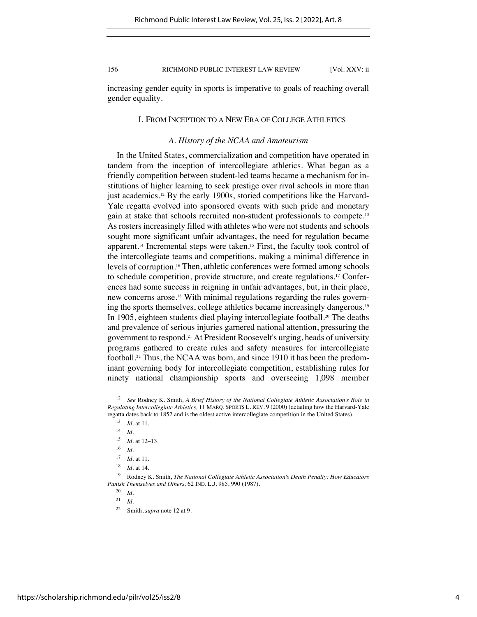increasing gender equity in sports is imperative to goals of reaching overall gender equality.

# I. FROM INCEPTION TO A NEW ERA OF COLLEGE ATHLETICS

# *A. History of the NCAA and Amateurism*

In the United States, commercialization and competition have operated in tandem from the inception of intercollegiate athletics. What began as a friendly competition between student-led teams became a mechanism for institutions of higher learning to seek prestige over rival schools in more than just academics.<sup>12</sup> By the early 1900s, storied competitions like the Harvard-Yale regatta evolved into sponsored events with such pride and monetary gain at stake that schools recruited non-student professionals to compete.13 As rosters increasingly filled with athletes who were not students and schools sought more significant unfair advantages, the need for regulation became apparent.<sup>14</sup> Incremental steps were taken.<sup>15</sup> First, the faculty took control of the intercollegiate teams and competitions, making a minimal difference in levels of corruption.16 Then, athletic conferences were formed among schools to schedule competition, provide structure, and create regulations.17 Conferences had some success in reigning in unfair advantages, but, in their place, new concerns arose.18 With minimal regulations regarding the rules governing the sports themselves, college athletics became increasingly dangerous.19 In 1905, eighteen students died playing intercollegiate football.20 The deaths and prevalence of serious injuries garnered national attention, pressuring the government to respond.21 At President Roosevelt's urging, heads of university programs gathered to create rules and safety measures for intercollegiate football.<sup>22</sup> Thus, the NCAA was born, and since 1910 it has been the predominant governing body for intercollegiate competition, establishing rules for ninety national championship sports and overseeing 1,098 member

<sup>12</sup> *See* Rodney K. Smith, *A Brief History of the National Collegiate Athletic Association's Role in Regulating Intercollegiate Athletics,* 11 MARQ. SPORTS L. REV. 9 (2000) (detailing how the Harvard-Yale regatta dates back to 1852 and is the oldest active intercollegiate competition in the United States).

<sup>13</sup> *Id.* at 11.

<sup>14</sup> *Id.*

 $\frac{15}{16}$  *Id.* at 12–13.

 $\frac{16}{17}$  *Id.* 

*Id.* at 11.

<sup>18</sup> *Id.* at 14.

<sup>19</sup> Rodney K. Smith, *The National Collegiate Athletic Association's Death Penalty: How Educators Punish Themselves and Others,* 62 IND. L.J. 985, 990 (1987).

 $\frac{20}{21}$  *Id.* 

 $\frac{21}{22}$  *Id.* 

Smith, *supra* note 12 at 9.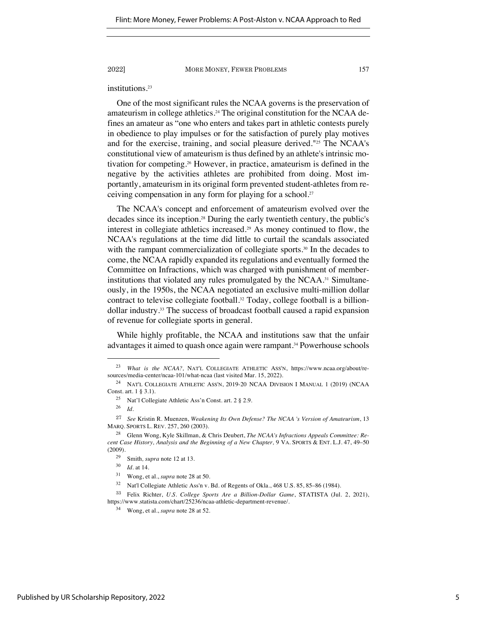institutions.23

One of the most significant rules the NCAA governs is the preservation of amateurism in college athletics.<sup>24</sup> The original constitution for the NCAA defines an amateur as "one who enters and takes part in athletic contests purely in obedience to play impulses or for the satisfaction of purely play motives and for the exercise, training, and social pleasure derived."25 The NCAA's constitutional view of amateurism is thus defined by an athlete's intrinsic motivation for competing. <sup>26</sup> However, in practice, amateurism is defined in the negative by the activities athletes are prohibited from doing. Most importantly, amateurism in its original form prevented student-athletes from receiving compensation in any form for playing for a school. 27

The NCAA's concept and enforcement of amateurism evolved over the decades since its inception.28 During the early twentieth century, the public's interest in collegiate athletics increased.29 As money continued to flow, the NCAA's regulations at the time did little to curtail the scandals associated with the rampant commercialization of collegiate sports.<sup>30</sup> In the decades to come, the NCAA rapidly expanded its regulations and eventually formed the Committee on Infractions, which was charged with punishment of memberinstitutions that violated any rules promulgated by the NCAA.31 Simultaneously, in the 1950s, the NCAA negotiated an exclusive multi-million dollar contract to televise collegiate football.<sup>32</sup> Today, college football is a billiondollar industry.33 The success of broadcast football caused a rapid expansion of revenue for collegiate sports in general.

While highly profitable, the NCAA and institutions saw that the unfair advantages it aimed to quash once again were rampant.34 Powerhouse schools

<sup>23</sup> *What is the NCAA?,* NAT'L COLLEGIATE ATHLETIC ASS'N, https://www.ncaa.org/about/resources/media-center/ncaa-101/what-ncaa (last visited Mar. 15, 2022).

<sup>24</sup> NAT'L COLLEGIATE ATHLETIC ASS'N, 2019-20 NCAA DIVISION I MANUAL 1 (2019) (NCAA Const. art. 1 § 3.1).

<sup>25</sup> Nat'l Collegiate Athletic Ass'n Const. art. 2 § 2.9.

<sup>26</sup> *Id.*

<sup>27</sup> *See* Kristin R. Muenzen, *Weakening Its Own Defense? The NCAA 's Version of Amateurism*, 13 MARQ. SPORTS L. REV. 257, 260 (2003).

<sup>28</sup> Glenn Wong, Kyle Skillman, & Chris Deubert, *The NCAA's Infractions Appeals Committee: Recent Case History, Analysis and the Beginning of a New Chapter,* 9 VA. SPORTS & ENT. L.J. 47, 49–50 (2009).

<sup>29</sup> Smith*, supra* note 12 at 13.

<sup>30</sup> *Id.* at 14.

<sup>31</sup> Wong, et al., *supra* note 28 at 50.

<sup>32</sup> Nat'l Collegiate Athletic Ass'n v. Bd. of Regents of Okla., 468 U.S. 85, 85–86 (1984).

<sup>33</sup> Felix Richter, *U.S. College Sports Are a Billion-Dollar Game*, STATISTA (Jul. 2, 2021), https://www.statista.com/chart/25236/ncaa-athletic-department-revenue/.

<sup>34</sup> Wong, et al., *supra* note 28 at 52.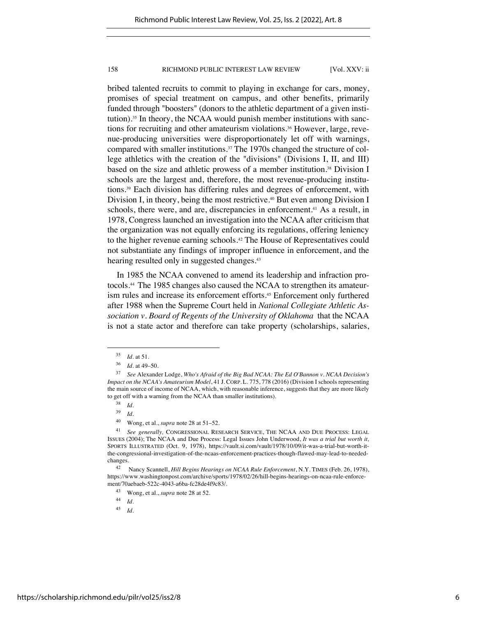bribed talented recruits to commit to playing in exchange for cars, money, promises of special treatment on campus, and other benefits, primarily funded through "boosters" (donors to the athletic department of a given institution). <sup>35</sup> In theory, the NCAA would punish member institutions with sanctions for recruiting and other amateurism violations.<sup>36</sup> However, large, revenue-producing universities were disproportionately let off with warnings, compared with smaller institutions.37 The 1970s changed the structure of college athletics with the creation of the "divisions" (Divisions I, II, and III) based on the size and athletic prowess of a member institution.<sup>38</sup> Division I schools are the largest and, therefore, the most revenue-producing institutions.39 Each division has differing rules and degrees of enforcement, with Division I, in theory, being the most restrictive.<sup>40</sup> But even among Division I schools, there were, and are, discrepancies in enforcement.<sup>41</sup> As a result, in 1978, Congress launched an investigation into the NCAA after criticism that the organization was not equally enforcing its regulations, offering leniency to the higher revenue earning schools.42 The House of Representatives could not substantiate any findings of improper influence in enforcement, and the hearing resulted only in suggested changes. 43

In 1985 the NCAA convened to amend its leadership and infraction protocols.44 The 1985 changes also caused the NCAA to strengthen its amateurism rules and increase its enforcement efforts.<sup>45</sup> Enforcement only furthered after 1988 when the Supreme Court held in *National Collegiate Athletic Association v. Board of Regents of the University of Oklahoma* that the NCAA is not a state actor and therefore can take property (scholarships, salaries,

<sup>39</sup> *Id.*

<sup>35</sup> *Id.* at 51.

<sup>36</sup> *Id.* at 49–50.

<sup>37</sup> *See* Alexander Lodge, *Who's Afraid of the Big Bad NCAA: The Ed O'Bannon v. NCAA Decision's Impact on the NCAA's Amateurism Model*, 41 J. CORP. L. 775, 778 (2016) (Division I schools representing the main source of income of NCAA, which, with reasonable inference, suggests that they are more likely to get off with a warning from the NCAA than smaller institutions).

 $\frac{38}{39}$  *Id.* 

<sup>40</sup> Wong, et al., *supra* note 28 at 51–52.

<sup>41</sup> *See generally,* CONGRESSIONAL RESEARCH SERVICE, THE NCAA AND DUE PROCESS: LEGAL ISSUES (2004); The NCAA and Due Process: Legal Issues John Underwood, *It was a trial but worth it,*  SPORTS ILLUSTRATED (Oct. 9, 1978), https://vault.si.com/vault/1978/10/09/it-was-a-trial-but-worth-itthe-congressional-investigation-of-the-ncaas-enforcement-practices-though-flawed-may-lead-to-neededchanges.

<sup>42</sup> Nancy Scannell, *Hill Begins Hearings on NCAA Rule Enforcement*, N.Y. TIMES (Feb. 26, 1978), https://www.washingtonpost.com/archive/sports/1978/02/26/hill-begins-hearings-on-ncaa-rule-enforcement/70aebaeb-522c-4043-a6ba-fc28de4f9c83/.

<sup>43</sup> Wong, et al., *supra* note 28 at 52.

 $\frac{44}{45}$  *Id.* 

<sup>45</sup> *Id.*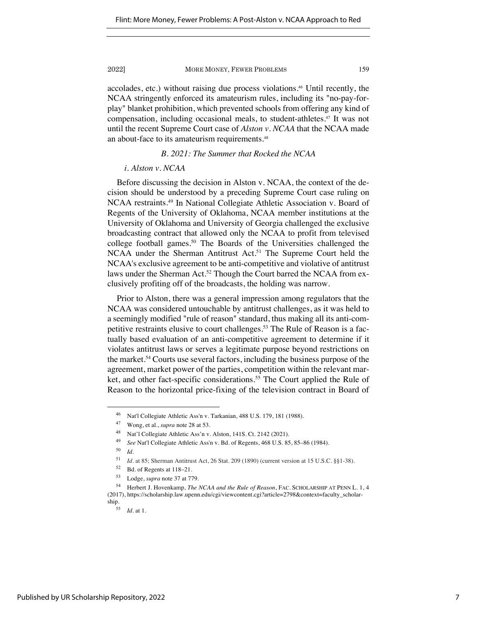accolades, etc.) without raising due process violations.46 Until recently, the NCAA stringently enforced its amateurism rules, including its "no-pay-forplay" blanket prohibition, which prevented schools from offering any kind of compensation, including occasional meals, to student-athletes.47 It was not until the recent Supreme Court case of *Alston v. NCAA* that the NCAA made an about-face to its amateurism requirements.<sup>48</sup>

# *B. 2021: The Summer that Rocked the NCAA*

# *i. Alston v. NCAA*

Before discussing the decision in Alston v. NCAA, the context of the decision should be understood by a preceding Supreme Court case ruling on NCAA restraints.49 In National Collegiate Athletic Association v. Board of Regents of the University of Oklahoma, NCAA member institutions at the University of Oklahoma and University of Georgia challenged the exclusive broadcasting contract that allowed only the NCAA to profit from televised college football games.<sup>50</sup> The Boards of the Universities challenged the NCAA under the Sherman Antitrust Act.<sup>51</sup> The Supreme Court held the NCAA's exclusive agreement to be anti-competitive and violative of antitrust laws under the Sherman Act.<sup>52</sup> Though the Court barred the NCAA from exclusively profiting off of the broadcasts, the holding was narrow.

Prior to Alston, there was a general impression among regulators that the NCAA was considered untouchable by antitrust challenges, as it was held to a seemingly modified "rule of reason" standard, thus making all its anti-competitive restraints elusive to court challenges.<sup>53</sup> The Rule of Reason is a factually based evaluation of an anti-competitive agreement to determine if it violates antitrust laws or serves a legitimate purpose beyond restrictions on the market.54 Courts use several factors, including the business purpose of the agreement, market power of the parties, competition within the relevant market, and other fact-specific considerations.<sup>55</sup> The Court applied the Rule of Reason to the horizontal price-fixing of the television contract in Board of

<sup>46</sup> Nat'l Collegiate Athletic Ass'n v. Tarkanian, 488 U.S. 179, 181 (1988).

<sup>47</sup> Wong, et al., *supra* note 28 at 53.

<sup>48</sup> Nat'l Collegiate Athletic Ass'n v. Alston, 141S. Ct. 2142 (2021).

<sup>49</sup> *See* Nat'l Collegiate Athletic Ass'n v. Bd. of Regents, 468 U.S. 85, 85–86 (1984).

<sup>50</sup> *Id.*

<sup>51</sup> *Id.* at 85; Sherman Antitrust Act, 26 Stat. 209 (1890) (current version at 15 U.S.C. §§1-38).

<sup>52</sup> Bd. of Regents at 118–21.

<sup>53</sup> Lodge, *supra* note 37 at 779.

<sup>54</sup> Herbert J. Hovenkamp, *The NCAA and the Rule of Reason*, FAC. SCHOLARSHIP AT PENN L. 1, 4 (2017), https://scholarship.law.upenn.edu/cgi/viewcontent.cgi?article=2798&context=faculty\_scholar- $\frac{\text{ship.}}{55}$ 

*Id.* at 1.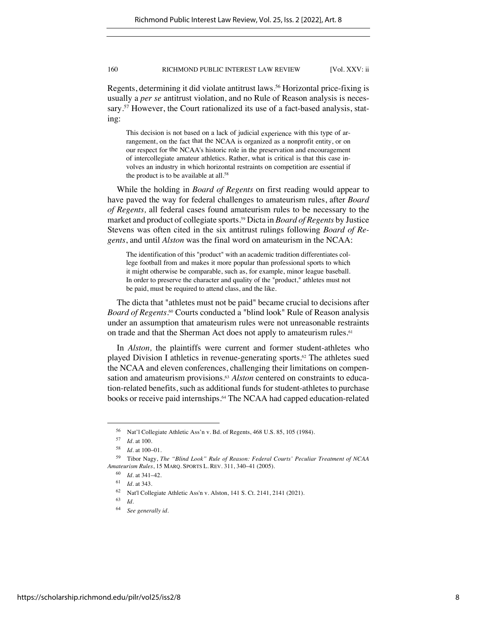Regents, determining it did violate antitrust laws.<sup>56</sup> Horizontal price-fixing is usually a *per se* antitrust violation, and no Rule of Reason analysis is necessary.<sup>57</sup> However, the Court rationalized its use of a fact-based analysis, stating:

This decision is not based on a lack of judicial experience with this type of arrangement, on the fact that the NCAA is organized as a nonprofit entity, or on our respect for the NCAA's historic role in the preservation and encouragement of intercollegiate amateur athletics*.* Rather, what is critical is that this case involves an industry in which horizontal restraints on competition are essential if the product is to be available at all.<sup>58</sup>

While the holding in *Board of Regents* on first reading would appear to have paved the way for federal challenges to amateurism rules, after *Board of Regents,* all federal cases found amateurism rules to be necessary to the market and product of collegiate sports.59 Dicta in *Board of Regents* by Justice Stevens was often cited in the six antitrust rulings following *Board of Regents*, and until *Alston* was the final word on amateurism in the NCAA:

The identification of this "product" with an academic tradition differentiates college football from and makes it more popular than professional sports to which it might otherwise be comparable, such as, for example, minor league baseball. In order to preserve the character and quality of the "product," athletes must not be paid, must be required to attend class, and the like.

The dicta that "athletes must not be paid" became crucial to decisions after Board of Regents.<sup>60</sup> Courts conducted a "blind look" Rule of Reason analysis under an assumption that amateurism rules were not unreasonable restraints on trade and that the Sherman Act does not apply to amateurism rules.<sup>61</sup>

In *Alston,* the plaintiffs were current and former student-athletes who played Division I athletics in revenue-generating sports.<sup>62</sup> The athletes sued the NCAA and eleven conferences, challenging their limitations on compensation and amateurism provisions.63 *Alston* centered on constraints to education-related benefits, such as additional funds for student-athletes to purchase books or receive paid internships.<sup>64</sup> The NCAA had capped education-related

<sup>56</sup> Nat'l Collegiate Athletic Ass'n v. Bd. of Regents, 468 U.S. 85, 105 (1984).

 $\frac{57}{58}$  *Id.* at 100.

*Id.* at 100–01.

<sup>59</sup> Tibor Nagy, *The "Blind Look" Rule of Reason: Federal Courts' Peculiar Treatment of NCAA Amateurism Rules*, 15 MARQ. SPORTS L. REV. 311, 340–41 (2005).

<sup>60</sup> *Id.* at 341–42.

<sup>61</sup> *Id.* at 343.

<sup>62</sup> Nat'l Collegiate Athletic Ass'n v. Alston, 141 S. Ct. 2141, 2141 (2021).

<sup>63</sup> *Id.*

<sup>64</sup> *See generally id.*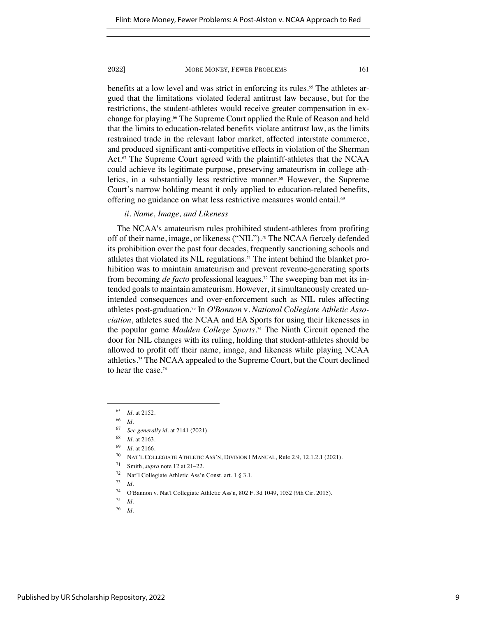benefits at a low level and was strict in enforcing its rules.65 The athletes argued that the limitations violated federal antitrust law because, but for the restrictions, the student-athletes would receive greater compensation in exchange for playing.66 The Supreme Court applied the Rule of Reason and held that the limits to education-related benefits violate antitrust law, as the limits restrained trade in the relevant labor market, affected interstate commerce, and produced significant anti-competitive effects in violation of the Sherman Act.<sup>67</sup> The Supreme Court agreed with the plaintiff-athletes that the NCAA could achieve its legitimate purpose, preserving amateurism in college athletics, in a substantially less restrictive manner.<sup>68</sup> However, the Supreme Court's narrow holding meant it only applied to education-related benefits, offering no guidance on what less restrictive measures would entail.<sup>69</sup>

# *ii. Name, Image, and Likeness*

The NCAA's amateurism rules prohibited student-athletes from profiting off of their name, image, or likeness ("NIL"). <sup>70</sup> The NCAA fiercely defended its prohibition over the past four decades, frequently sanctioning schools and athletes that violated its NIL regulations.71 The intent behind the blanket prohibition was to maintain amateurism and prevent revenue-generating sports from becoming *de facto* professional leagues.72 The sweeping ban met its intended goals to maintain amateurism. However, it simultaneously created unintended consequences and over-enforcement such as NIL rules affecting athletes post-graduation.73 In *O'Bannon* v. *National Collegiate Athletic Association*, athletes sued the NCAA and EA Sports for using their likenesses in the popular game *Madden College Sports.*<sup>74</sup> The Ninth Circuit opened the door for NIL changes with its ruling, holding that student-athletes should be allowed to profit off their name, image, and likeness while playing NCAA athletics.75 The NCAA appealed to the Supreme Court, but the Court declined to hear the case.76

<sup>65</sup> *Id.* at 2152.

 $\frac{66}{67}$  *Id.* 

<sup>67</sup> *See generally id.* at 2141 (2021).

<sup>68</sup> *Id.* at 2163.

<sup>69</sup> *Id.* at 2166.

<sup>70</sup> NAT'L COLLEGIATE ATHLETIC ASS'N, DIVISION I MANUAL, Rule 2.9, 12.1.2.1 (2021).

<sup>71</sup> Smith, *supra* note 12 at 21–22.

<sup>72</sup> Nat'l Collegiate Athletic Ass'n Const. art. 1 § 3.1.

<sup>73</sup> *Id.*

<sup>&</sup>lt;sup>74</sup> O'Bannon v. Nat'l Collegiate Athletic Ass'n, 802 F. 3d 1049, 1052 (9th Cir. 2015).

*Id.* 

<sup>76</sup> *Id.*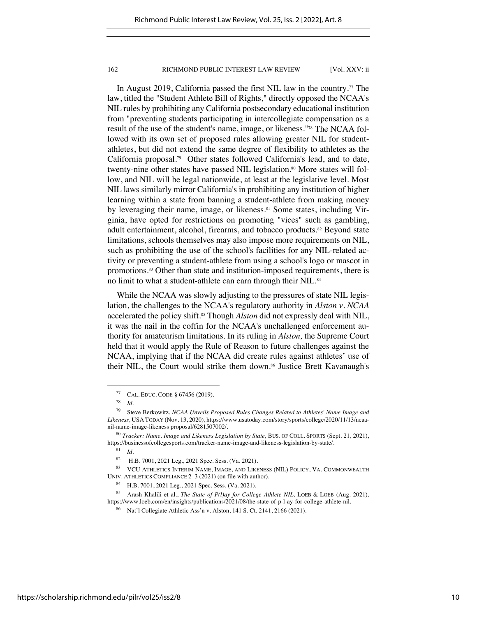In August 2019, California passed the first NIL law in the country.77 The law, titled the "Student Athlete Bill of Rights," directly opposed the NCAA's NIL rules by prohibiting any California postsecondary educational institution from "preventing students participating in intercollegiate compensation as a result of the use of the student's name, image, or likeness."78 The NCAA followed with its own set of proposed rules allowing greater NIL for studentathletes, but did not extend the same degree of flexibility to athletes as the California proposal.79 Other states followed California's lead, and to date, twenty-nine other states have passed NIL legislation.<sup>80</sup> More states will follow, and NIL will be legal nationwide, at least at the legislative level. Most NIL laws similarly mirror California's in prohibiting any institution of higher learning within a state from banning a student-athlete from making money by leveraging their name, image, or likeness.<sup>81</sup> Some states, including Virginia, have opted for restrictions on promoting "vices" such as gambling, adult entertainment, alcohol, firearms, and tobacco products.<sup>82</sup> Beyond state limitations, schools themselves may also impose more requirements on NIL, such as prohibiting the use of the school's facilities for any NIL-related activity or preventing a student-athlete from using a school's logo or mascot in promotions.83 Other than state and institution-imposed requirements, there is no limit to what a student-athlete can earn through their NIL.<sup>84</sup>

While the NCAA was slowly adjusting to the pressures of state NIL legislation, the challenges to the NCAA's regulatory authority in *Alston v. NCAA* accelerated the policy shift.<sup>85</sup> Though *Alston* did not expressly deal with NIL, it was the nail in the coffin for the NCAA's unchallenged enforcement authority for amateurism limitations. In its ruling in *Alston,* the Supreme Court held that it would apply the Rule of Reason to future challenges against the NCAA, implying that if the NCAA did create rules against athletes' use of their NIL, the Court would strike them down.<sup>86</sup> Justice Brett Kavanaugh's

<sup>&</sup>lt;sup>77</sup> CAL. EDUC. CODE § 67456 (2019).

<sup>78</sup> *Id.*

<sup>79</sup> Steve Berkowitz, *NCAA Unveils Proposed Rules Changes Related to Athletes' Name Image and Likeness,* USA TODAY (Nov. 13, 2020), https://www.usatoday.com/story/sports/college/2020/11/13/ncaanil-name-image-likeness proposal/6281507002/.

<sup>80</sup> *Tracker: Name, Image and Likeness Legislation by State,* BUS. OF COLL. SPORTS (Sept. 21, 2021), https://businessofcollegesports.com/tracker-name-image-and-likeness-legislation-by-state/.

 $\frac{81}{82}$  *Id.* 

H.B. 7001, 2021 Leg., 2021 Spec. Sess. (Va. 2021).

<sup>83</sup> VCU ATHLETICS INTERIM NAME, IMAGE, AND LIKENESS (NIL) POLICY, VA. COMMONWEALTH UNIV. ATHLETICS COMPLIANCE 2–3 (2021) (on file with author).

<sup>84</sup> H.B. 7001, 2021 Leg., 2021 Spec. Sess. (Va. 2021).

<sup>85</sup> Arash Khalili et al., *The State of P(l)ay for College Athlete NIL*, LOEB & LOEB (Aug. 2021), https://www.loeb.com/en/insights/publications/2021/08/the-state-of-p-l-ay-for-college-athlete-nil.

<sup>86</sup> Nat'l Collegiate Athletic Ass'n v. Alston, 141 S. Ct. 2141, 2166 (2021).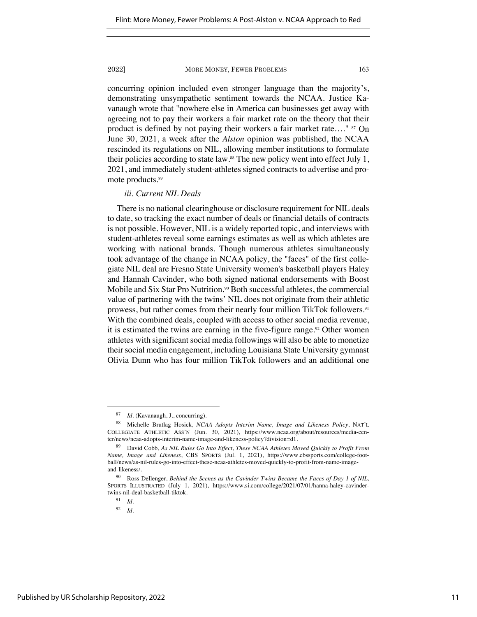concurring opinion included even stronger language than the majority's, demonstrating unsympathetic sentiment towards the NCAA. Justice Kavanaugh wrote that "nowhere else in America can businesses get away with agreeing not to pay their workers a fair market rate on the theory that their product is defined by not paying their workers a fair market rate...." <sup>87</sup> On June 30, 2021, a week after the *Alston* opinion was published, the NCAA rescinded its regulations on NIL, allowing member institutions to formulate their policies according to state law.88 The new policy went into effect July 1, 2021, and immediately student-athletes signed contracts to advertise and promote products.89

# *iii. Current NIL Deals*

There is no national clearinghouse or disclosure requirement for NIL deals to date, so tracking the exact number of deals or financial details of contracts is not possible. However, NIL is a widely reported topic, and interviews with student-athletes reveal some earnings estimates as well as which athletes are working with national brands. Though numerous athletes simultaneously took advantage of the change in NCAA policy, the "faces" of the first collegiate NIL deal are Fresno State University women's basketball players Haley and Hannah Cavinder, who both signed national endorsements with Boost Mobile and Six Star Pro Nutrition.<sup>90</sup> Both successful athletes, the commercial value of partnering with the twins' NIL does not originate from their athletic prowess, but rather comes from their nearly four million TikTok followers.<sup>91</sup> With the combined deals, coupled with access to other social media revenue, it is estimated the twins are earning in the five-figure range.<sup>92</sup> Other women athletes with significant social media followings will also be able to monetize their social media engagement, including Louisiana State University gymnast Olivia Dunn who has four million TikTok followers and an additional one

<sup>87</sup> *Id.* (Kavanaugh, J., concurring).

<sup>88</sup> Michelle Brutlag Hosick, *NCAA Adopts Interim Name, Image and Likeness Policy*, NAT'L COLLEGIATE ATHLETIC ASS'N (Jun. 30, 2021), https://www.ncaa.org/about/resources/media-center/news/ncaa-adopts-interim-name-image-and-likeness-policy?division=d1.

<sup>89</sup> David Cobb, *As NIL Rules Go Into Effect, These NCAA Athletes Moved Quickly to Profit From Name, Image and Likeness*, CBS SPORTS (Jul. 1, 2021), https://www.cbssports.com/college-football/news/as-nil-rules-go-into-effect-these-ncaa-athletes-moved-quickly-to-profit-from-name-imageand-likeness/.

<sup>90</sup> Ross Dellenger, *Behind the Scenes as the Cavinder Twins Became the Faces of Day 1 of NIL*, SPORTS ILLUSTRATED (July 1, 2021), https://www.si.com/college/2021/07/01/hanna-haley-cavindertwins-nil-deal-basketball-tiktok.

<sup>91</sup> *Id.*

<sup>92</sup> *Id.*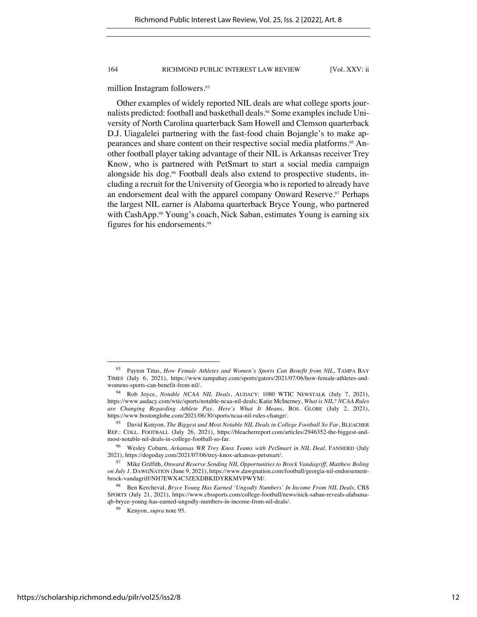million Instagram followers.<sup>93</sup>

Other examples of widely reported NIL deals are what college sports journalists predicted: football and basketball deals.<sup>94</sup> Some examples include University of North Carolina quarterback Sam Howell and Clemson quarterback D.J. Uiagalelei partnering with the fast-food chain Bojangle's to make appearances and share content on their respective social media platforms.95 Another football player taking advantage of their NIL is Arkansas receiver Trey Know, who is partnered with PetSmart to start a social media campaign alongside his dog.<sup>96</sup> Football deals also extend to prospective students, including a recruit for the University of Georgia who is reported to already have an endorsement deal with the apparel company Onward Reserve.<sup>97</sup> Perhaps the largest NIL earner is Alabama quarterback Bryce Young, who partnered with CashApp.<sup>98</sup> Young's coach, Nick Saban, estimates Young is earning six figures for his endorsements.99

<sup>93</sup> Payton Titus, *How Female Athletes and Women's Sports Can Benefit from NIL*, TAMPA BAY TIMES (July 6, 2021), https://www.tampabay.com/sports/gators/2021/07/06/how-female-athletes-andwomens-sports-can-benefit-from-nil/.

<sup>94</sup> Rob Joyce, *Notable NCAA NIL Deals*, AUDACY: 1080 WTIC NEWSTALK (July 7, 2021), https://www.audacy.com/wtic/sports/notable-ncaa-nil-deals; Katie McInerney, *What is NIL? NCAA Rules are Changing Regarding Athlete Pay. Here's What It Means*, BOS. GLOBE (July 2, 2021), https://www.bostonglobe.com/2021/06/30/sports/ncaa-nil-rules-change/.

<sup>95</sup> David Kenyon, *The Biggest and Most Notable NIL Deals in College Football So Far*, BLEACHER REP.: COLL. FOOTBALL (July 26, 2021), https://bleacherreport.com/articles/2946352-the-biggest-andmost-notable-nil-deals-in-college-football-so-far.

<sup>&</sup>lt;sup>96</sup> Wesley Coburn, Arkansas WR Trey Knox Teams with PetSmart in NIL Deal, FANSIDED (July 2021), https://dogoday.com/2021/07/06/trey-knox-arkansas-petsmart/.

<sup>97</sup> Mike Griffith, *Onward Reserve Sending NIL Opportunities to Brock Vandagriff, Matthew Boling on July 1,* DAWGNATION (June 9, 2021), https://www.dawgnation.com/football/georgia-nil-endorsementbrock-vandagriff/NH7EWX4C3ZEXDBKIDYRKMVPWYM/.

<sup>&</sup>lt;sup>98</sup> Ben Kercheval, *Bryce Young Has Earned 'Ungodly Numbers' In Income From NIL Deals*, CBS SPORTS (July 21, 2021), https://www.cbssports.com/college-football/news/nick-saban-reveals-alabamaqb-bryce-young-has-earned-ungodly-numbers-in-income-from-nil-deals/.

<sup>99</sup> Kenyon, *supra* note 95.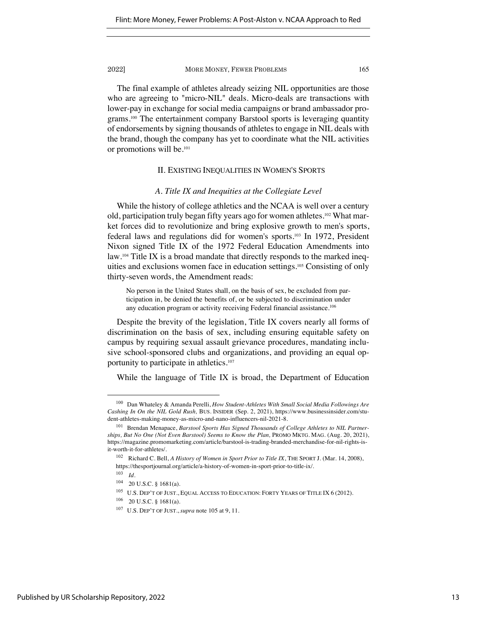The final example of athletes already seizing NIL opportunities are those who are agreeing to "micro-NIL" deals. Micro-deals are transactions with lower-pay in exchange for social media campaigns or brand ambassador programs.100 The entertainment company Barstool sports is leveraging quantity of endorsements by signing thousands of athletes to engage in NIL deals with the brand, though the company has yet to coordinate what the NIL activities or promotions will be.101

# II. EXISTING INEQUALITIES IN WOMEN'S SPORTS

### *A. Title IX and Inequities at the Collegiate Level*

While the history of college athletics and the NCAA is well over a century old, participation truly began fifty years ago for women athletes.102 What market forces did to revolutionize and bring explosive growth to men's sports, federal laws and regulations did for women's sports.103 In 1972, President Nixon signed Title IX of the 1972 Federal Education Amendments into law. <sup>104</sup> Title IX is a broad mandate that directly responds to the marked inequities and exclusions women face in education settings.105 Consisting of only thirty-seven words, the Amendment reads:

No person in the United States shall, on the basis of sex, be excluded from participation in, be denied the benefits of, or be subjected to discrimination under any education program or activity receiving Federal financial assistance.<sup>106</sup>

Despite the brevity of the legislation, Title IX covers nearly all forms of discrimination on the basis of sex, including ensuring equitable safety on campus by requiring sexual assault grievance procedures, mandating inclusive school-sponsored clubs and organizations, and providing an equal opportunity to participate in athletics.107

While the language of Title IX is broad, the Department of Education

<sup>100</sup> Dan Whateley & Amanda Perelli, *How Student-Athletes With Small Social Media Followings Are Cashing In On the NIL Gold Rush,* BUS. INSIDER (Sep. 2, 2021), https://www.businessinsider.com/student-athletes-making-money-as-micro-and-nano-influencers-nil-2021-8.

<sup>101</sup> Brendan Menapace, *Barstool Sports Has Signed Thousands of College Athletes to NIL Partnerships, But No One (Not Even Barstool) Seems to Know the Plan,* PROMO MKTG. MAG. (Aug. 20, 2021), https://magazine.promomarketing.com/article/barstool-is-trading-branded-merchandise-for-nil-rights-isit-worth-it-for-athletes/.

<sup>102</sup> Richard C. Bell, *A History of Women in Sport Prior to Title IX*, THE SPORT J. (Mar. 14, 2008), https://thesportjournal.org/article/a-history-of-women-in-sport-prior-to-title-ix/.

<sup>103</sup> *Id.*

<sup>104 20</sup> U.S.C. § 1681(a).

 $^{105}\;$  U.S. DEP'T OF JUST., EQUAL ACCESS TO EDUCATION: FORTY YEARS OF TITLE IX 6 (2012).

<sup>106</sup> 20 U.S.C. § 1681(a).

<sup>107</sup> U.S. DEP'T OF JUST., *supra* note 105 at 9, 11.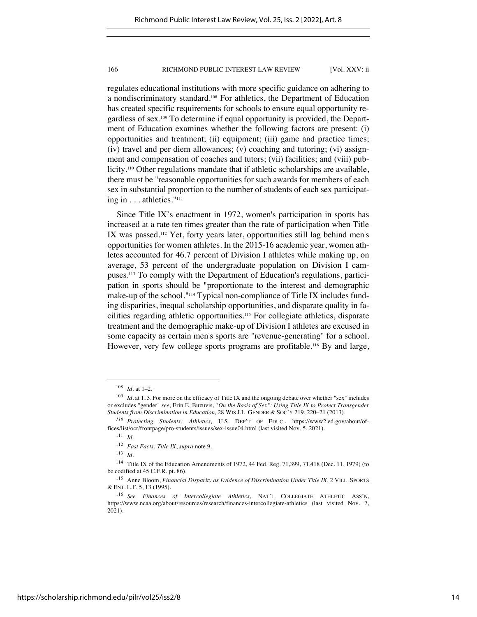regulates educational institutions with more specific guidance on adhering to a nondiscriminatory standard. <sup>108</sup> For athletics, the Department of Education has created specific requirements for schools to ensure equal opportunity regardless of sex.109 To determine if equal opportunity is provided, the Department of Education examines whether the following factors are present: (i) opportunities and treatment; (ii) equipment; (iii) game and practice times; (iv) travel and per diem allowances; (v) coaching and tutoring; (vi) assignment and compensation of coaches and tutors; (vii) facilities; and (viii) publicity.<sup>110</sup> Other regulations mandate that if athletic scholarships are available, there must be "reasonable opportunities for such awards for members of each sex in substantial proportion to the number of students of each sex participating in . . . athletics."111

Since Title IX's enactment in 1972, women's participation in sports has increased at a rate ten times greater than the rate of participation when Title IX was passed.112 Yet, forty years later, opportunities still lag behind men's opportunities for women athletes. In the 2015-16 academic year, women athletes accounted for 46.7 percent of Division I athletes while making up, on average, 53 percent of the undergraduate population on Division I campuses.113 To comply with the Department of Education's regulations, participation in sports should be "proportionate to the interest and demographic make-up of the school."114 Typical non-compliance of Title IX includes funding disparities, inequal scholarship opportunities, and disparate quality in facilities regarding athletic opportunities.115 For collegiate athletics, disparate treatment and the demographic make-up of Division I athletes are excused in some capacity as certain men's sports are "revenue-generating" for a school. However, very few college sports programs are profitable.<sup>116</sup> By and large,

<sup>108</sup> *Id.* at 1–2.

<sup>&</sup>lt;sup>109</sup> *Id.* at 1, 3. For more on the efficacy of Title IX and the ongoing debate over whether "sex" includes or excludes "gender" *see,* Erin E. Buzuvis, *"On the Basis of Sex": Using Title IX to Protect Transgender Students from Discrimination in Education,* 28 WIS J.L. GENDER & SOC'Y 219, 220–21 (2013).

*<sup>110</sup> Protecting Students: Athletics,* U.S. DEP'T OF EDUC., https://www2.ed.gov/about/offices/list/ocr/frontpage/pro-students/issues/sex-issue04.html (last visited Nov. 5, 2021).

<sup>111</sup> *Id.*

<sup>112</sup> *Fast Facts: Title IX*, *supra* note 9.

<sup>113</sup> *Id.*

<sup>114</sup> Title IX of the Education Amendments of 1972, 44 Fed. Reg. 71,399, 71,418 (Dec. 11, 1979) (to be codified at 45 C.F.R. pt. 86).

<sup>115</sup> Anne Bloom, *Financial Disparity as Evidence of Discrimination Under Title IX*, 2 VILL. SPORTS & ENT. L.F. 5, 13 (1995).

<sup>116</sup> *See Finances of Intercollegiate Athletics*, NAT'L COLLEGIATE ATHLETIC ASS'N, https://www.ncaa.org/about/resources/research/finances-intercollegiate-athletics (last visited Nov. 7, 2021).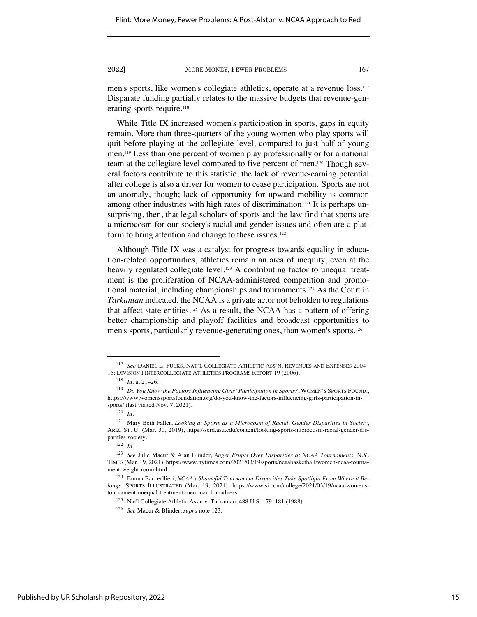men's sports, like women's collegiate athletics, operate at a revenue loss.117 Disparate funding partially relates to the massive budgets that revenue-generating sports require.<sup>118</sup>

While Title IX increased women's participation in sports, gaps in equity remain. More than three-quarters of the young women who play sports will quit before playing at the collegiate level, compared to just half of young men.119 Less than one percent of women play professionally or for a national team at the collegiate level compared to five percent of men.120 Though several factors contribute to this statistic, the lack of revenue-earning potential after college is also a driver for women to cease participation. Sports are not an anomaly, though; lack of opportunity for upward mobility is common among other industries with high rates of discrimination. <sup>121</sup> It is perhaps unsurprising, then, that legal scholars of sports and the law find that sports are a microcosm for our society's racial and gender issues and often are a platform to bring attention and change to these issues.<sup>122</sup>

Although Title IX was a catalyst for progress towards equality in education-related opportunities, athletics remain an area of inequity, even at the heavily regulated collegiate level.<sup>123</sup> A contributing factor to unequal treatment is the proliferation of NCAA-administered competition and promotional material, including championships and tournaments.124 As the Court in *Tarkanian* indicated, the NCAA is a private actor not beholden to regulations that affect state entities.125 As a result, the NCAA has a pattern of offering better championship and playoff facilities and broadcast opportunities to men's sports, particularly revenue-generating ones, than women's sports.126

<sup>117</sup> *See* DANIEL L. FULKS, NAT'L COLLEGIATE ATHLETIC ASS'N, REVENUES AND EXPENSES 2004– 15: DIVISION I INTERCOLLEGIATE ATHLETICS PROGRAMS REPORT 19 (2006).

<sup>118</sup> *Id.* at 21–26.

<sup>119</sup> *Do You Know the Factors Influencing Girls' Participation in Sports?*, WOMEN'S SPORTS FOUND., https://www.womenssportsfoundation.org/do-you-know-the-factors-influencing-girls-participation-insports/ (last visited Nov. 7, 2021).

<sup>120</sup> *Id.*

<sup>121</sup> Mary Beth Faller, *Looking at Sports as a Microcosm of Racial, Gender Disparities in Society*, ARIZ. ST. U. (Mar. 30, 2019), https://scrd.asu.edu/content/looking-sports-microcosm-racial-gender-disparities-society.

<sup>122</sup> *Id.*

<sup>123</sup> *See* Julie Macur & Alan Blinder, *Anger Erupts Over Disparities at NCAA Tournaments,* N.Y. TIMES (Mar. 19, 2021), https://www.nytimes.com/2021/03/19/sports/ncaabasketball/women-ncaa-tournament-weight-room.html.

<sup>124</sup> Emma Baccerllieri, *NCAA's Shameful Tournament Disparities Take Spotlight From Where it Belongs,* SPORTS ILLUSTRATED (Mar. 19, 2021), https://www.si.com/college/2021/03/19/ncaa-womenstournament-unequal-treatment-men-march-madness.

<sup>125</sup> Nat'l Collegiate Athletic Ass'n v. Tarkanian, 488 U.S. 179, 181 (1988).

<sup>126</sup> *See* Macur & Blinder, *supra* note 123.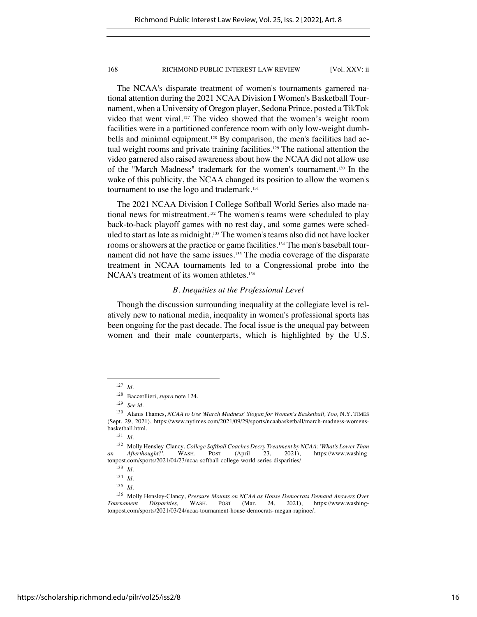The NCAA's disparate treatment of women's tournaments garnered national attention during the 2021 NCAA Division I Women's Basketball Tournament, when a University of Oregon player, Sedona Prince, posted a TikTok video that went viral. <sup>127</sup> The video showed that the women's weight room facilities were in a partitioned conference room with only low-weight dumbbells and minimal equipment.<sup>128</sup> By comparison, the men's facilities had actual weight rooms and private training facilities.<sup>129</sup> The national attention the video garnered also raised awareness about how the NCAA did not allow use of the "March Madness" trademark for the women's tournament.130 In the wake of this publicity, the NCAA changed its position to allow the women's tournament to use the logo and trademark.<sup>131</sup>

The 2021 NCAA Division I College Softball World Series also made national news for mistreatment. <sup>132</sup> The women's teams were scheduled to play back-to-back playoff games with no rest day, and some games were scheduled to start as late as midnight.133 The women's teams also did not have locker rooms or showers at the practice or game facilities.<sup>134</sup> The men's baseball tournament did not have the same issues.<sup>135</sup> The media coverage of the disparate treatment in NCAA tournaments led to a Congressional probe into the NCAA's treatment of its women athletes.<sup>136</sup>

# *B. Inequities at the Professional Level*

Though the discussion surrounding inequality at the collegiate level is relatively new to national media, inequality in women's professional sports has been ongoing for the past decade. The focal issue is the unequal pay between women and their male counterparts, which is highlighted by the U.S.

<sup>127</sup> *Id.*

<sup>128</sup> Baccerllieri, *supra* note 124.

<sup>129</sup> *See id.*

<sup>130</sup> Alanis Thames, *NCAA to Use 'March Madness' Slogan for Women's Basketball, Too,* N.Y. TIMES (Sept. 29, 2021), https://www.nytimes.com/2021/09/29/sports/ncaabasketball/march-madness-womensbasketball.html.

<sup>131</sup> *Id.*

<sup>132</sup> Molly Hensley-Clancy, *College Softball Coaches Decry Treatment by NCAA: 'What's Lower Than an Afterthought?',* WASH. POST (April 23, 2021), https://www.washingtonpost.com/sports/2021/04/23/ncaa-softball-college-world-series-disparities/.

<sup>133</sup> *Id.*

<sup>134</sup> *Id.*

<sup>135</sup> *Id.*

<sup>136</sup> Molly Hensley-Clancy, *Pressure Mounts on NCAA as House Democrats Demand Answers Over Tournament Disparities,* WASH. POST (Mar. 24, 2021), https://www.washingtonpost.com/sports/2021/03/24/ncaa-tournament-house-democrats-megan-rapinoe/.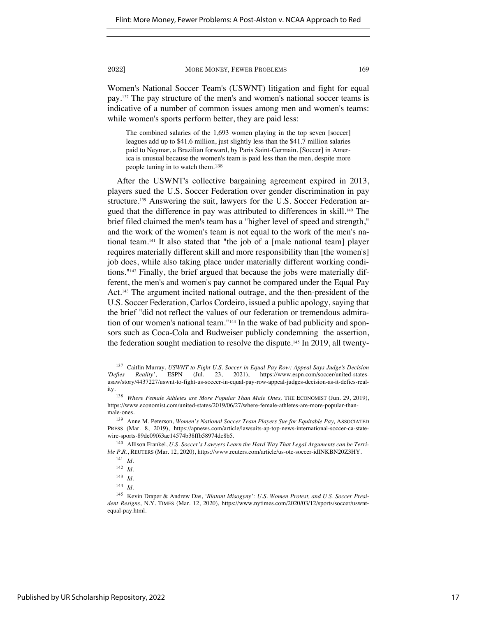Women's National Soccer Team's (USWNT) litigation and fight for equal pay.137 The pay structure of the men's and women's national soccer teams is indicative of a number of common issues among men and women's teams: while women's sports perform better, they are paid less:

The combined salaries of the 1,693 women playing in the top seven [soccer] leagues add up to \$41.6 million, just slightly less than the \$41.7 million salaries paid to Neymar, a Brazilian forward, by Paris Saint-Germain. [Soccer] in America is unusual because the women's team is paid less than the men, despite more people tuning in to watch them.<sup>138</sup>

After the USWNT's collective bargaining agreement expired in 2013, players sued the U.S. Soccer Federation over gender discrimination in pay structure.139 Answering the suit, lawyers for the U.S. Soccer Federation argued that the difference in pay was attributed to differences in skill.140 The brief filed claimed the men's team has a "higher level of speed and strength," and the work of the women's team is not equal to the work of the men's national team.141 It also stated that "the job of a [male national team] player requires materially different skill and more responsibility than [the women's] job does, while also taking place under materially different working conditions."142 Finally, the brief argued that because the jobs were materially different, the men's and women's pay cannot be compared under the Equal Pay Act.143 The argument incited national outrage, and the then-president of the U.S. Soccer Federation, Carlos Cordeiro, issued a public apology, saying that the brief "did not reflect the values of our federation or tremendous admiration of our women's national team."144 In the wake of bad publicity and sponsors such as Coca-Cola and Budweiser publicly condemning the assertion, the federation sought mediation to resolve the dispute.145 In 2019, all twenty-

<sup>&</sup>lt;sup>137</sup> Caitlin Murray, *USWNT to Fight U.S. Soccer in Equal Pay Row: Appeal Says Judge's Decision*<br> *Defies* Reality', ESPN (Jul. 23, 2021). https://www.espn.com/soccer/united-states-*'Defies Reality'*, ESPN (Jul. 23, 2021), https://www.espn.com/soccer/united-statesusaw/story/4437227/uswnt-to-fight-us-soccer-in-equal-pay-row-appeal-judges-decision-as-it-defies-reality.

<sup>138</sup> *Where Female Athletes are More Popular Than Male Ones,* THE ECONOMIST (Jun. 29, 2019), https://www.economist.com/united-states/2019/06/27/where-female-athletes-are-more-popular-thanmale-ones.

<sup>&</sup>lt;sup>139</sup> Anne M. Peterson, *Women's National Soccer Team Players Sue for Equitable Pay*, ASSOCIATED PRESS (Mar. 8, 2019), https://apnews.com/article/lawsuits-ap-top-news-international-soccer-ca-statewire-sports-89de09f63ae14574b38ffb58974dc8b5.

<sup>&</sup>lt;sup>140</sup> Allison Frankel, *U.S. Soccer's Lawyers Learn the Hard Way That Legal Arguments can be Terrible P.R.*, REUTERS (Mar. 12, 2020), https://www.reuters.com/article/us-otc-soccer-idINKBN20Z3HY.

<sup>141</sup> *Id.*

<sup>142</sup> *Id.*

<sup>143</sup> *Id.*

<sup>144</sup> *Id.*

<sup>145</sup> Kevin Draper & Andrew Das, *'Blatant Misogyny': U.S. Women Protest, and U.S. Soccer President Resigns*, N.Y. TIMES (Mar. 12, 2020), https://www.nytimes.com/2020/03/12/sports/soccer/uswntequal-pay.html.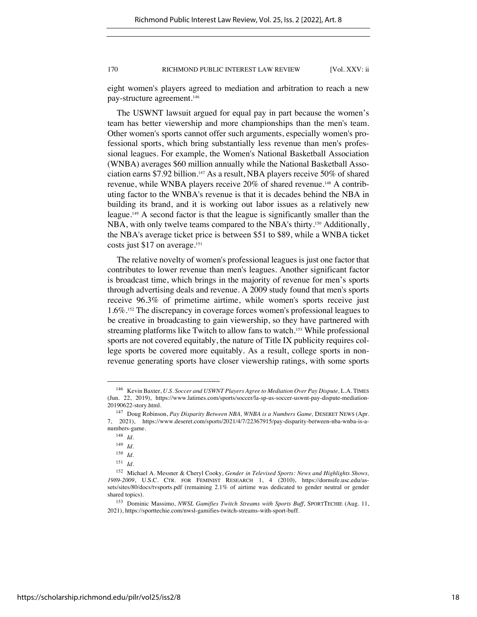eight women's players agreed to mediation and arbitration to reach a new pay-structure agreement.146

The USWNT lawsuit argued for equal pay in part because the women's team has better viewership and more championships than the men's team. Other women's sports cannot offer such arguments, especially women's professional sports, which bring substantially less revenue than men's professional leagues. For example, the Women's National Basketball Association (WNBA) averages \$60 million annually while the National Basketball Association earns \$7.92 billion.147 As a result, NBA players receive 50% of shared revenue, while WNBA players receive 20% of shared revenue.148 A contributing factor to the WNBA's revenue is that it is decades behind the NBA in building its brand, and it is working out labor issues as a relatively new league.149 A second factor is that the league is significantly smaller than the NBA, with only twelve teams compared to the NBA's thirty.<sup>150</sup> Additionally, the NBA's average ticket price is between \$51 to \$89, while a WNBA ticket costs just \$17 on average. 151

The relative novelty of women's professional leagues is just one factor that contributes to lower revenue than men's leagues. Another significant factor is broadcast time, which brings in the majority of revenue for men's sports through advertising deals and revenue. A 2009 study found that men's sports receive 96.3% of primetime airtime, while women's sports receive just 1.6%.152 The discrepancy in coverage forces women's professional leagues to be creative in broadcasting to gain viewership, so they have partnered with streaming platforms like Twitch to allow fans to watch.<sup>153</sup> While professional sports are not covered equitably, the nature of Title IX publicity requires college sports be covered more equitably. As a result, college sports in nonrevenue generating sports have closer viewership ratings, with some sports

<sup>&</sup>lt;sup>146</sup> Kevin Baxter, *U.S. Soccer and USWNT Players Agree to Mediation Over Pay Dispute*, L.A. TIMES (Jun. 22, 2019), https://www.latimes.com/sports/soccer/la-sp-us-soccer-uswnt-pay-dispute-mediation-20190622-story.html.

<sup>&</sup>lt;sup>147</sup> Doug Robinson, *Pay Disparity Between NBA*, *WNBA is a Numbers Game*, DESERET NEWS (Apr. 7, 2021), https://www.deseret.com/sports/2021/4/7/22367915/pay-disparity-between-nba-wnba-is-anumbers-game.

<sup>148</sup> *Id.*

<sup>149</sup> *Id.*

<sup>150</sup> *Id.*

<sup>151</sup> *Id.*

<sup>152</sup> Michael A. Messner & Cheryl Cooky, *Gender in Televised Sports: News and Highlights Shows, 1989-2009*, U.S.C. CTR. FOR FEMINIST RESEARCH 1, 4 (2010), https://dornsife.usc.edu/assets/sites/80/docs/tvsports.pdf (remaining 2.1% of airtime was dedicated to gender neutral or gender shared topics).

<sup>153</sup> Dominic Massimo, *NWSL Gamifies Twitch Streams with Sports Buff*, SPORTTECHIE (Aug. 11, 2021), https://sporttechie.com/nwsl-gamifies-twitch-streams-with-sport-buff.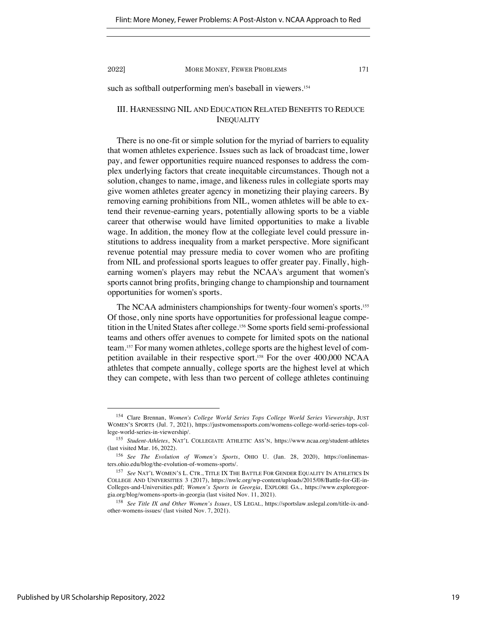such as softball outperforming men's baseball in viewers.<sup>154</sup>

# III. HARNESSING NIL AND EDUCATION RELATED BENEFITS TO REDUCE INEQUALITY

There is no one-fit or simple solution for the myriad of barriers to equality that women athletes experience. Issues such as lack of broadcast time, lower pay, and fewer opportunities require nuanced responses to address the complex underlying factors that create inequitable circumstances. Though not a solution, changes to name, image, and likeness rules in collegiate sports may give women athletes greater agency in monetizing their playing careers. By removing earning prohibitions from NIL, women athletes will be able to extend their revenue-earning years, potentially allowing sports to be a viable career that otherwise would have limited opportunities to make a livable wage. In addition, the money flow at the collegiate level could pressure institutions to address inequality from a market perspective. More significant revenue potential may pressure media to cover women who are profiting from NIL and professional sports leagues to offer greater pay. Finally, highearning women's players may rebut the NCAA's argument that women's sports cannot bring profits, bringing change to championship and tournament opportunities for women's sports.

The NCAA administers championships for twenty-four women's sports.<sup>155</sup> Of those, only nine sports have opportunities for professional league competition in the United States after college.156 Some sports field semi-professional teams and others offer avenues to compete for limited spots on the national team.157 For many women athletes, college sports are the highest level of competition available in their respective sport.158 For the over 400,000 NCAA athletes that compete annually, college sports are the highest level at which they can compete, with less than two percent of college athletes continuing

<sup>154</sup> Clare Brennan, *Women's College World Series Tops College World Series Viewership*, JUST WOMEN'S SPORTS (Jul. 7, 2021), https://justwomenssports.com/womens-college-world-series-tops-college-world-series-in-viewership/.

<sup>155</sup> *Student-Athletes*, NAT'L COLLEGIATE ATHLETIC ASS'N, https://www.ncaa.org/student-athletes (last visited Mar. 16, 2022).

<sup>156</sup> *See The Evolution of Women's Sports*, OHIO U. (Jan. 28, 2020), https://onlinemasters.ohio.edu/blog/the-evolution-of-womens-sports/.

<sup>157</sup> *See* NAT'L WOMEN'S L. CTR., TITLE IX THE BATTLE FOR GENDER EQUALITY IN ATHLETICS IN COLLEGE AND UNIVERSITIES 3 (2017), https://nwlc.org/wp-content/uploads/2015/08/Battle-for-GE-in-Colleges-and-Universities.pdf; *Women's Sports in Georgia*, EXPLORE GA., https://www.exploregeorgia.org/blog/womens-sports-in-georgia (last visited Nov. 11, 2021).

<sup>158</sup> *See Title IX and Other Women's Issues*, US LEGAL, https://sportslaw.uslegal.com/title-ix-andother-womens-issues/ (last visited Nov. 7, 2021).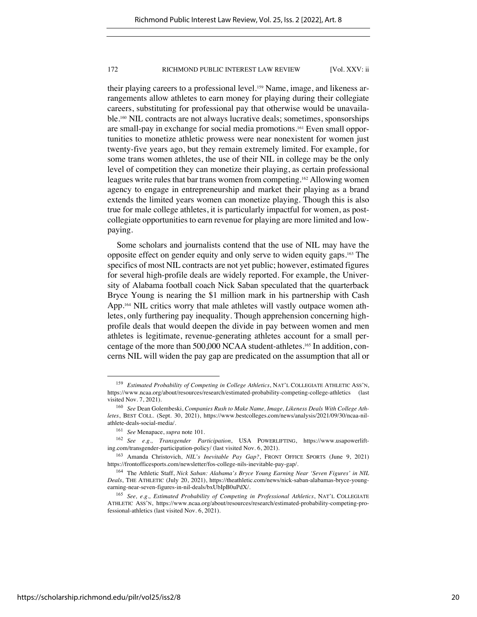their playing careers to a professional level.159 Name, image, and likeness arrangements allow athletes to earn money for playing during their collegiate careers, substituting for professional pay that otherwise would be unavailable.160 NIL contracts are not always lucrative deals; sometimes, sponsorships are small-pay in exchange for social media promotions.161 Even small opportunities to monetize athletic prowess were near nonexistent for women just twenty-five years ago, but they remain extremely limited. For example, for some trans women athletes, the use of their NIL in college may be the only level of competition they can monetize their playing, as certain professional leagues write rules that bar trans women from competing. <sup>162</sup> Allowing women agency to engage in entrepreneurship and market their playing as a brand extends the limited years women can monetize playing. Though this is also true for male college athletes, it is particularly impactful for women, as postcollegiate opportunities to earn revenue for playing are more limited and lowpaying.

Some scholars and journalists contend that the use of NIL may have the opposite effect on gender equity and only serve to widen equity gaps.163 The specifics of most NIL contracts are not yet public; however, estimated figures for several high-profile deals are widely reported. For example, the University of Alabama football coach Nick Saban speculated that the quarterback Bryce Young is nearing the \$1 million mark in his partnership with Cash App.164 NIL critics worry that male athletes will vastly outpace women athletes, only furthering pay inequality. Though apprehension concerning highprofile deals that would deepen the divide in pay between women and men athletes is legitimate, revenue-generating athletes account for a small percentage of the more than 500,000 NCAA student-athletes.165 In addition, concerns NIL will widen the pay gap are predicated on the assumption that all or

<sup>159</sup> *Estimated Probability of Competing in College Athletics*, NAT'L COLLEGIATE ATHLETIC ASS'N, https://www.ncaa.org/about/resources/research/estimated-probability-competing-college-athletics (last visited Nov. 7, 2021).

<sup>160</sup> *See* Dean Golembeski, *Companies Rush to Make Name, Image, Likeness Deals With College Athletes*, BEST COLL. (Sept. 30, 2021), https://www.bestcolleges.com/news/analysis/2021/09/30/ncaa-nilathlete-deals-social-media/.

<sup>161</sup> *See* Menapace, *supra* note 101.

<sup>162</sup> *See e.g., Transgender Participation*, USA POWERLIFTING, https://www.usapowerlifting.com/transgender-participation-policy/ (last visited Nov. 6, 2021).

<sup>163</sup> Amanda Christovich, *NIL's Inevitable Pay Gap?*, FRONT OFFICE SPORTS (June 9, 2021) https://frontofficesports.com/newsletter/fos-college-nils-inevitable-pay-gap/.

<sup>164</sup> The Athletic Staff, *Nick Saban: Alabama's Bryce Young Earning Near 'Seven Figures' in NIL Deals*, THE ATHLETIC (July 20, 2021), https://theathletic.com/news/nick-saban-alabamas-bryce-youngearning-near-seven-figures-in-nil-deals/bxUbIpB0uPdX/.

<sup>165</sup> *See, e.g., Estimated Probability of Competing in Professional Athletics*, NAT'L COLLEGIATE ATHLETIC ASS'N, https://www.ncaa.org/about/resources/research/estimated-probability-competing-professional-athletics (last visited Nov. 6, 2021).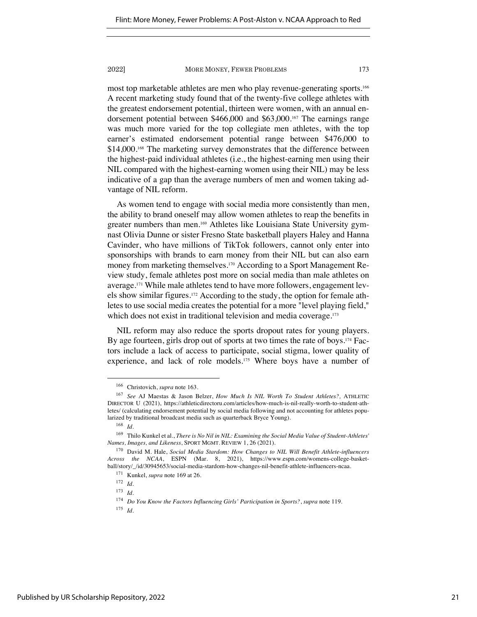most top marketable athletes are men who play revenue-generating sports.166 A recent marketing study found that of the twenty-five college athletes with the greatest endorsement potential, thirteen were women, with an annual endorsement potential between \$466,000 and \$63,000.167 The earnings range was much more varied for the top collegiate men athletes, with the top earner's estimated endorsement potential range between \$476,000 to \$14,000.<sup>168</sup> The marketing survey demonstrates that the difference between the highest-paid individual athletes (i.e., the highest-earning men using their NIL compared with the highest-earning women using their NIL) may be less indicative of a gap than the average numbers of men and women taking advantage of NIL reform.

As women tend to engage with social media more consistently than men, the ability to brand oneself may allow women athletes to reap the benefits in greater numbers than men.169 Athletes like Louisiana State University gymnast Olivia Dunne or sister Fresno State basketball players Haley and Hanna Cavinder, who have millions of TikTok followers, cannot only enter into sponsorships with brands to earn money from their NIL but can also earn money from marketing themselves.170 According to a Sport Management Review study, female athletes post more on social media than male athletes on average.171 While male athletes tend to have more followers, engagement levels show similar figures.172 According to the study, the option for female athletes to use social media creates the potential for a more "level playing field," which does not exist in traditional television and media coverage.<sup>173</sup>

NIL reform may also reduce the sports dropout rates for young players. By age fourteen, girls drop out of sports at two times the rate of boys.<sup>174</sup> Factors include a lack of access to participate, social stigma, lower quality of experience, and lack of role models.<sup>175</sup> Where boys have a number of

<sup>166</sup> Christovich, *supra* note 163.

<sup>167</sup> *See* AJ Maestas & Jason Belzer, *How Much Is NIL Worth To Student Athletes?,* ATHLETIC DIRECTOR U (2021), https://athleticdirectoru.com/articles/how-much-is-nil-really-worth-to-student-athletes/ (calculating endorsement potential by social media following and not accounting for athletes popularized by traditional broadcast media such as quarterback Bryce Young).

<sup>168</sup> *Id.*

<sup>169</sup> Thilo Kunkel et al., *There is No Nil in NIL: Examining the Social Media Value of Student-Athletes' Names, Images, and Likeness*, SPORT MGMT. REVIEW 1, 26 (2021).

<sup>170</sup> David M. Hale, *Social Media Stardom: How Changes to NIL Will Benefit Athlete-influencers Across the NCAA*, ESPN (Mar. 8, 2021), https://www.espn.com/womens-college-basketball/story/\_/id/30945653/social-media-stardom-how-changes-nil-benefit-athlete-influencers-ncaa.

<sup>171</sup> Kunkel, *supra* note 169 at 26.

<sup>172</sup> *Id.*

<sup>173</sup> *Id.*

<sup>174</sup> *Do You Know the Factors Influencing Girls' Participation in Sports?*, *supra* note 119.

<sup>175</sup> *Id.*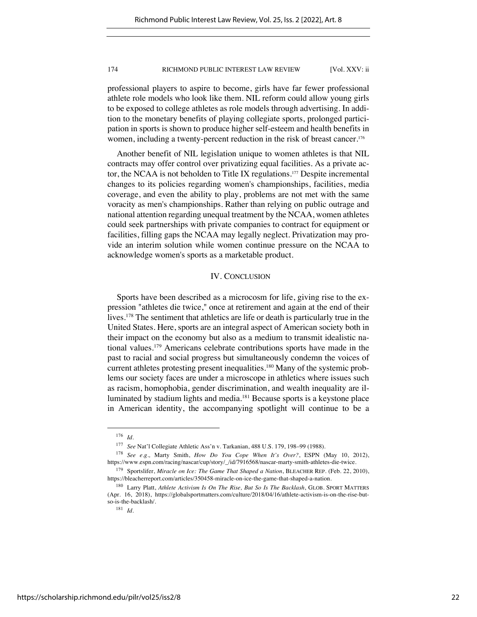professional players to aspire to become, girls have far fewer professional athlete role models who look like them. NIL reform could allow young girls to be exposed to college athletes as role models through advertising. In addition to the monetary benefits of playing collegiate sports, prolonged participation in sports is shown to produce higher self-esteem and health benefits in women, including a twenty-percent reduction in the risk of breast cancer.<sup>176</sup>

Another benefit of NIL legislation unique to women athletes is that NIL contracts may offer control over privatizing equal facilities. As a private actor, the NCAA is not beholden to Title IX regulations.177 Despite incremental changes to its policies regarding women's championships, facilities, media coverage, and even the ability to play, problems are not met with the same voracity as men's championships. Rather than relying on public outrage and national attention regarding unequal treatment by the NCAA, women athletes could seek partnerships with private companies to contract for equipment or facilities, filling gaps the NCAA may legally neglect. Privatization may provide an interim solution while women continue pressure on the NCAA to acknowledge women's sports as a marketable product.

# IV. CONCLUSION

Sports have been described as a microcosm for life, giving rise to the expression "athletes die twice," once at retirement and again at the end of their lives.178 The sentiment that athletics are life or death is particularly true in the United States. Here, sports are an integral aspect of American society both in their impact on the economy but also as a medium to transmit idealistic national values.179 Americans celebrate contributions sports have made in the past to racial and social progress but simultaneously condemn the voices of current athletes protesting present inequalities.<sup>180</sup> Many of the systemic problems our society faces are under a microscope in athletics where issues such as racism, homophobia, gender discrimination, and wealth inequality are illuminated by stadium lights and media.181 Because sports is a keystone place in American identity, the accompanying spotlight will continue to be a

<sup>176</sup> *Id.*

<sup>177</sup> *See* Nat'l Collegiate Athletic Ass'n v. Tarkanian, 488 U.S. 179, 198–99 (1988).

<sup>178</sup> *See e.g.,* Marty Smith, *How Do You Cope When It's Over?*, ESPN (May 10, 2012), https://www.espn.com/racing/nascar/cup/story/\_/id/7916568/nascar-marty-smith-athletes-die-twice.

<sup>179</sup> Sportslifer, *Miracle on Ice: The Game That Shaped a Nation*, BLEACHER REP. (Feb. 22, 2010), https://bleacherreport.com/articles/350458-miracle-on-ice-the-game-that-shaped-a-nation.

<sup>180</sup> Larry Platt, *Athlete Activism Is On The Rise, But So Is The Backlash*, GLOB. SPORT MATTERS (Apr. 16, 2018), https://globalsportmatters.com/culture/2018/04/16/athlete-activism-is-on-the-rise-butso-is-the-backlash/.

<sup>181</sup> *Id.*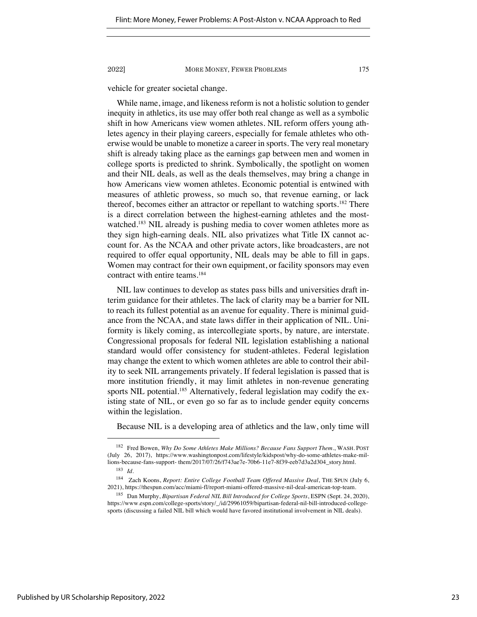vehicle for greater societal change.

While name, image, and likeness reform is not a holistic solution to gender inequity in athletics, its use may offer both real change as well as a symbolic shift in how Americans view women athletes. NIL reform offers young athletes agency in their playing careers, especially for female athletes who otherwise would be unable to monetize a career in sports. The very real monetary shift is already taking place as the earnings gap between men and women in college sports is predicted to shrink. Symbolically, the spotlight on women and their NIL deals, as well as the deals themselves, may bring a change in how Americans view women athletes. Economic potential is entwined with measures of athletic prowess, so much so, that revenue earning, or lack thereof, becomes either an attractor or repellant to watching sports.182 There is a direct correlation between the highest-earning athletes and the mostwatched.<sup>183</sup> NIL already is pushing media to cover women athletes more as they sign high-earning deals. NIL also privatizes what Title IX cannot account for. As the NCAA and other private actors, like broadcasters, are not required to offer equal opportunity, NIL deals may be able to fill in gaps. Women may contract for their own equipment, or facility sponsors may even contract with entire teams.184

NIL law continues to develop as states pass bills and universities draft interim guidance for their athletes. The lack of clarity may be a barrier for NIL to reach its fullest potential as an avenue for equality. There is minimal guidance from the NCAA, and state laws differ in their application of NIL. Uniformity is likely coming, as intercollegiate sports, by nature, are interstate. Congressional proposals for federal NIL legislation establishing a national standard would offer consistency for student-athletes. Federal legislation may change the extent to which women athletes are able to control their ability to seek NIL arrangements privately. If federal legislation is passed that is more institution friendly, it may limit athletes in non-revenue generating sports NIL potential.<sup>185</sup> Alternatively, federal legislation may codify the existing state of NIL, or even go so far as to include gender equity concerns within the legislation.

Because NIL is a developing area of athletics and the law, only time will

<sup>182</sup> Fred Bowen, *Why Do Some Athletes Make Millions? Because Fans Support Them.*, WASH. POST (July 26, 2017), https://www.washingtonpost.com/lifestyle/kidspost/why-do-some-athletes-make-millions-because-fans-support- them/2017/07/26/f743ae7e-70b6-11e7-8f39-eeb7d3a2d304\_story.html. <sup>183</sup> *Id.*

<sup>184</sup> Zach Koons, *Report: Entire College Football Team Offered Massive Deal*, THE SPUN (July 6, 2021), https://thespun.com/acc/miami-fl/report-miami-offered-massive-nil-deal-american-top-team.

<sup>185</sup> Dan Murphy, *Bipartisan Federal NIL Bill Introduced for College Sports*, ESPN (Sept. 24, 2020), https://www.espn.com/college-sports/story/\_/id/29961059/bipartisan-federal-nil-bill-introduced-collegesports (discussing a failed NIL bill which would have favored institutional involvement in NIL deals).